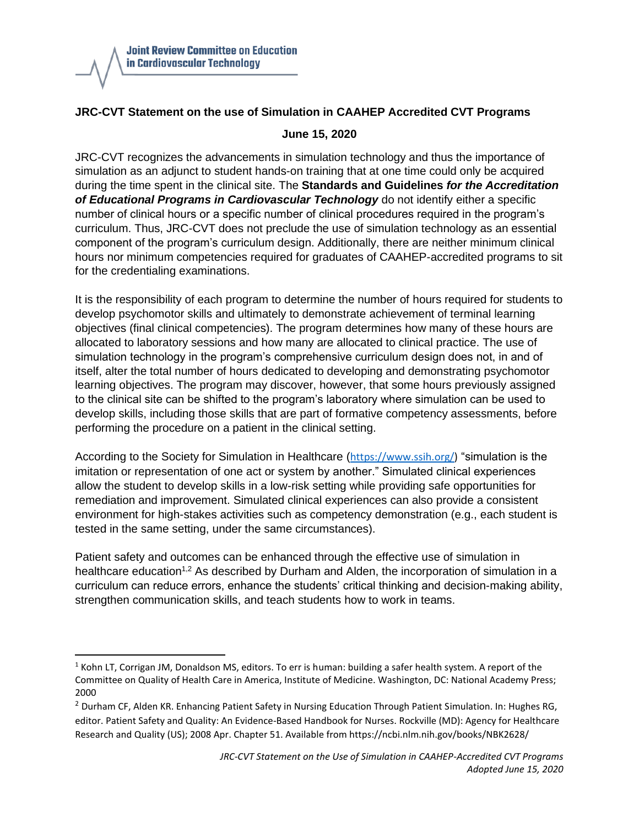

## **JRC-CVT Statement on the use of Simulation in CAAHEP Accredited CVT Programs**

## **June 15, 2020**

JRC-CVT recognizes the advancements in simulation technology and thus the importance of simulation as an adjunct to student hands-on training that at one time could only be acquired during the time spent in the clinical site. The **Standards and Guidelines** *for the Accreditation of Educational Programs in Cardiovascular Technology* do not identify either a specific number of clinical hours or a specific number of clinical procedures required in the program's curriculum. Thus, JRC-CVT does not preclude the use of simulation technology as an essential component of the program's curriculum design. Additionally, there are neither minimum clinical hours nor minimum competencies required for graduates of CAAHEP-accredited programs to sit for the credentialing examinations.

It is the responsibility of each program to determine the number of hours required for students to develop psychomotor skills and ultimately to demonstrate achievement of terminal learning objectives (final clinical competencies). The program determines how many of these hours are allocated to laboratory sessions and how many are allocated to clinical practice. The use of simulation technology in the program's comprehensive curriculum design does not, in and of itself, alter the total number of hours dedicated to developing and demonstrating psychomotor learning objectives. The program may discover, however, that some hours previously assigned to the clinical site can be shifted to the program's laboratory where simulation can be used to develop skills, including those skills that are part of formative competency assessments, before performing the procedure on a patient in the clinical setting.

According to the Society for Simulation in Healthcare ([https://www.ssih.org/\)](https://www.ssih.org/) "simulation is the imitation or representation of one act or system by another." Simulated clinical experiences allow the student to develop skills in a low-risk setting while providing safe opportunities for remediation and improvement. Simulated clinical experiences can also provide a consistent environment for high-stakes activities such as competency demonstration (e.g., each student is tested in the same setting, under the same circumstances).

Patient safety and outcomes can be enhanced through the effective use of simulation in healthcare education<sup>1,2</sup> As described by Durham and Alden, the incorporation of simulation in a curriculum can reduce errors, enhance the students' critical thinking and decision-making ability, strengthen communication skills, and teach students how to work in teams.

 $1$  Kohn LT, Corrigan JM, Donaldson MS, editors. To err is human: building a safer health system. A report of the Committee on Quality of Health Care in America, Institute of Medicine. Washington, DC: National Academy Press; 2000

<sup>&</sup>lt;sup>2</sup> Durham CF, Alden KR. Enhancing Patient Safety in Nursing Education Through Patient Simulation. In: Hughes RG, editor. Patient Safety and Quality: An Evidence-Based Handbook for Nurses. Rockville (MD): Agency for Healthcare Research and Quality (US); 2008 Apr. Chapter 51. Available from https://ncbi.nlm.nih.gov/books/NBK2628/